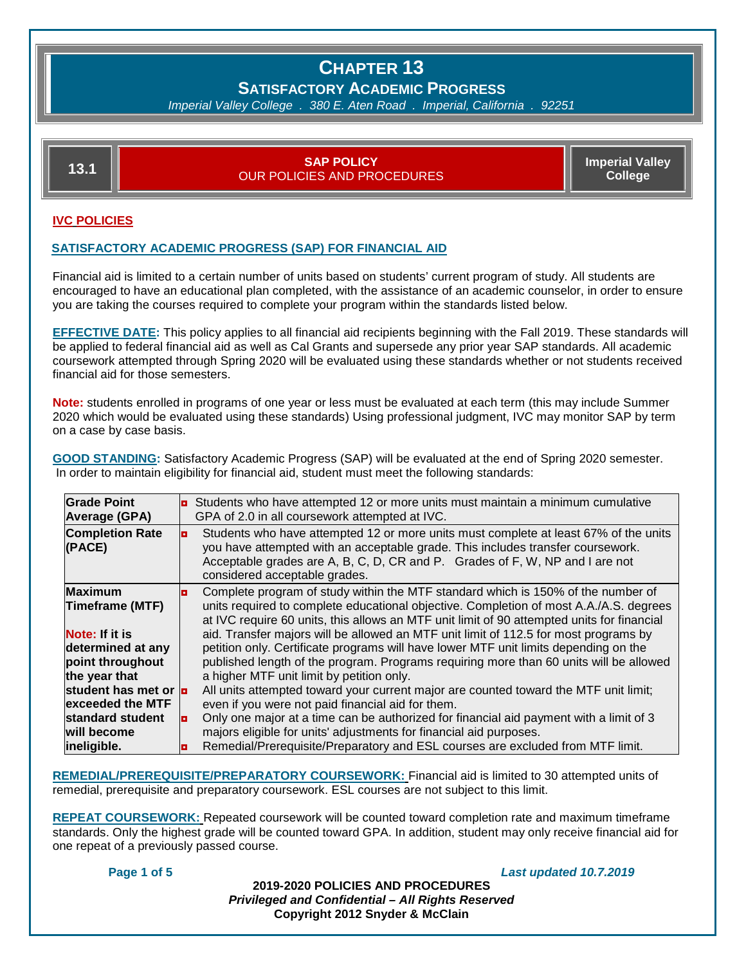### **SATISFACTORY ACADEMIC PROGRESS**

*Imperial Valley College . 380 E. Aten Road . Imperial, California . 92251*

| <b>Imperial Valley</b><br><b>ISAP POLICY</b><br>13.1<br><b>College</b><br><b>OUR POLICIES AND PROCEDURES</b> |
|--------------------------------------------------------------------------------------------------------------|
|--------------------------------------------------------------------------------------------------------------|

#### **IVC POLICIES**

#### **SATISFACTORY ACADEMIC PROGRESS (SAP) FOR FINANCIAL AID**

Financial aid is limited to a certain number of units based on students' current program of study. All students are encouraged to have an educational plan completed, with the assistance of an academic counselor, in order to ensure you are taking the courses required to complete your program within the standards listed below.

**EFFECTIVE DATE:** This policy applies to all financial aid recipients beginning with the Fall 2019. These standards will be applied to federal financial aid as well as Cal Grants and supersede any prior year SAP standards. All academic coursework attempted through Spring 2020 will be evaluated using these standards whether or not students received financial aid for those semesters.

**Note:** students enrolled in programs of one year or less must be evaluated at each term (this may include Summer 2020 which would be evaluated using these standards) Using professional judgment, IVC may monitor SAP by term on a case by case basis.

**GOOD STANDING:** Satisfactory Academic Progress (SAP) will be evaluated at the end of Spring 2020 semester. In order to maintain eligibility for financial aid, student must meet the following standards:

| <b>Grade Point</b><br><b>Average (GPA)</b>                       |                | Students who have attempted 12 or more units must maintain a minimum cumulative<br>GPA of 2.0 in all coursework attempted at IVC.                                                                                                                                                        |  |  |
|------------------------------------------------------------------|----------------|------------------------------------------------------------------------------------------------------------------------------------------------------------------------------------------------------------------------------------------------------------------------------------------|--|--|
| <b>Completion Rate</b><br>(PACE)                                 | $\blacksquare$ | Students who have attempted 12 or more units must complete at least 67% of the units<br>you have attempted with an acceptable grade. This includes transfer coursework.<br>Acceptable grades are A, B, C, D, CR and P. Grades of F, W, NP and I are not<br>considered acceptable grades. |  |  |
| <b>Maximum</b><br><b>Timeframe (MTF)</b>                         |                | Complete program of study within the MTF standard which is 150% of the number of<br>units required to complete educational objective. Completion of most A.A./A.S. degrees<br>at IVC require 60 units, this allows an MTF unit limit of 90 attempted units for financial                 |  |  |
| Note: If it is<br>determined at any<br>point throughout          |                | aid. Transfer majors will be allowed an MTF unit limit of 112.5 for most programs by<br>petition only. Certificate programs will have lower MTF unit limits depending on the<br>published length of the program. Programs requiring more than 60 units will be allowed                   |  |  |
| the year that<br>student has met or <b>p</b><br>exceeded the MTF |                | a higher MTF unit limit by petition only.<br>All units attempted toward your current major are counted toward the MTF unit limit;<br>even if you were not paid financial aid for them.                                                                                                   |  |  |
| standard student<br>will become                                  | $\bullet$      | Only one major at a time can be authorized for financial aid payment with a limit of 3<br>majors eligible for units' adjustments for financial aid purposes.                                                                                                                             |  |  |
| ineligible.                                                      |                | Remedial/Prerequisite/Preparatory and ESL courses are excluded from MTF limit.                                                                                                                                                                                                           |  |  |

**REMEDIAL/PREREQUISITE/PREPARATORY COURSEWORK:** Financial aid is limited to 30 attempted units of remedial, prerequisite and preparatory coursework. ESL courses are not subject to this limit.

**REPEAT COURSEWORK:** Repeated coursework will be counted toward completion rate and maximum timeframe standards. Only the highest grade will be counted toward GPA. In addition, student may only receive financial aid for one repeat of a previously passed course.

**Page 1 of 5** *Last updated 10.7.2019*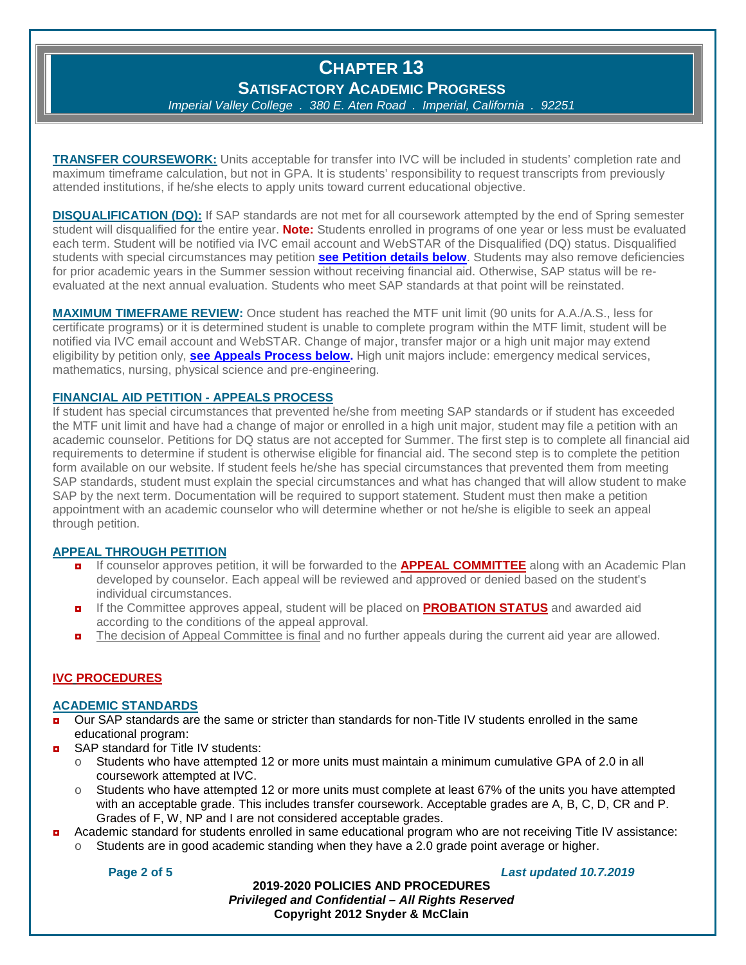**SATISFACTORY ACADEMIC PROGRESS**

*Imperial Valley College . 380 E. Aten Road . Imperial, California . 92251*

**TRANSFER COURSEWORK:** Units acceptable for transfer into IVC will be included in students' completion rate and maximum timeframe calculation, but not in GPA. It is students' responsibility to request transcripts from previously attended institutions, if he/she elects to apply units toward current educational objective.

**DISQUALIFICATION (DQ):** If SAP standards are not met for all coursework attempted by the end of Spring semester student will disqualified for the entire year. **Note:** Students enrolled in programs of one year or less must be evaluated each term. Student will be notified via IVC email account and WebSTAR of the Disqualified (DQ) status. Disqualified students with special circumstances may petition **[see Petition details below](#page-1-0)**. Students may also remove deficiencies for prior academic years in the Summer session without receiving financial aid. Otherwise, SAP status will be reevaluated at the next annual evaluation. Students who meet SAP standards at that point will be reinstated.

**MAXIMUM TIMEFRAME REVIEW:** Once student has reached the MTF unit limit (90 units for A.A./A.S., less for certificate programs) or it is determined student is unable to complete program within the MTF limit, student will be notified via IVC email account and WebSTAR. Change of major, transfer major or a high unit major may extend eligibility by petition only, **[see Appeals Process below.](#page-1-0)** High unit majors include: emergency medical services, mathematics, nursing, physical science and pre-engineering.

#### <span id="page-1-0"></span>**FINANCIAL AID PETITION - APPEALS PROCESS**

If student has special circumstances that prevented he/she from meeting SAP standards or if student has exceeded the MTF unit limit and have had a change of major or enrolled in a high unit major, student may file a petition with an academic counselor. Petitions for DQ status are not accepted for Summer. The first step is to complete all financial aid requirements to determine if student is otherwise eligible for financial aid. The second step is to complete the petition form available on our website. If student feels he/she has special circumstances that prevented them from meeting SAP standards, student must explain the special circumstances and what has changed that will allow student to make SAP by the next term. Documentation will be required to support statement. Student must then make a petition appointment with an academic counselor who will determine whether or not he/she is eligible to seek an appeal through petition.

#### **APPEAL THROUGH PETITION**

- If counselor approves petition, it will be forwarded to the **APPEAL COMMITTEE** along with an Academic Plan developed by counselor. Each appeal will be reviewed and approved or denied based on the student's individual circumstances.
- ◘ If the Committee approves appeal, student will be placed on **PROBATION STATUS** and awarded aid according to the conditions of the appeal approval.
- The decision of Appeal Committee is final and no further appeals during the current aid year are allowed.

#### **IVC PROCEDURES**

#### **ACADEMIC STANDARDS**

- Our SAP standards are the same or stricter than standards for non-Title IV students enrolled in the same educational program:
- $\blacksquare$  SAP standard for Title IV students:
	- $\circ$  Students who have attempted 12 or more units must maintain a minimum cumulative GPA of 2.0 in all coursework attempted at IVC.
	- $\circ$  Students who have attempted 12 or more units must complete at least 67% of the units you have attempted with an acceptable grade. This includes transfer coursework. Acceptable grades are A, B, C, D, CR and P. Grades of F, W, NP and I are not considered acceptable grades.
- ◘ Academic standard for students enrolled in same educational program who are not receiving Title IV assistance:
	- Students are in good academic standing when they have a 2.0 grade point average or higher.

**Page 2 of 5** *Last updated 10.7.2019*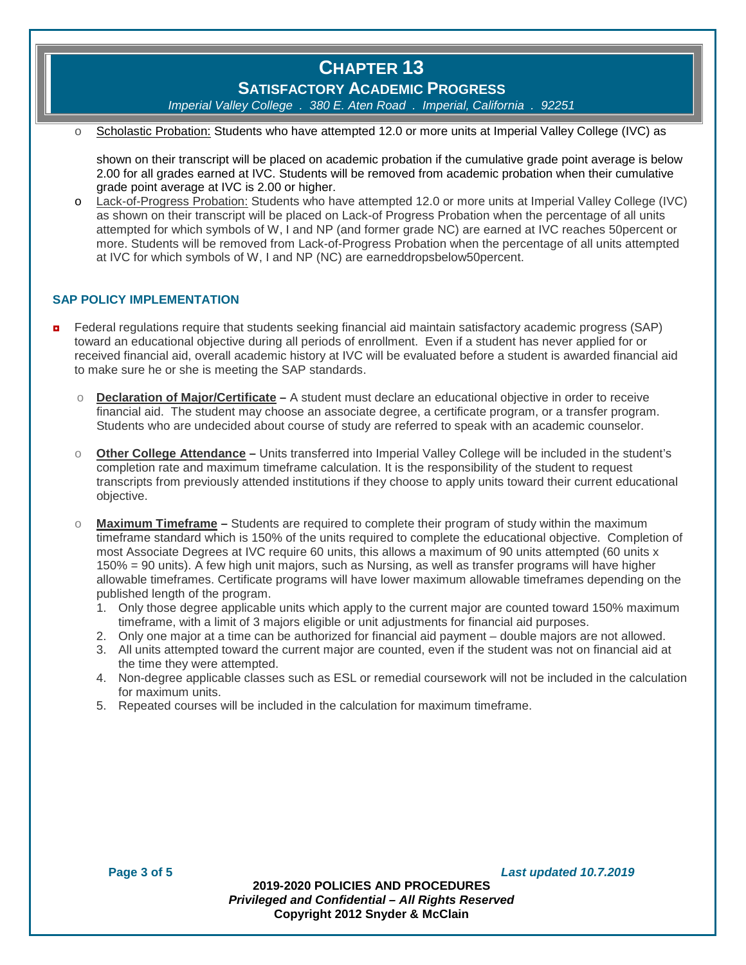**SATISFACTORY ACADEMIC PROGRESS**

*Imperial Valley College . 380 E. Aten Road . Imperial, California . 92251*

Scholastic Probation: Students who have attempted 12.0 or more units at Imperial Valley College (IVC) as

shown on their transcript will be placed on academic probation if the cumulative grade point average is below 2.00 for all grades earned at IVC. Students will be removed from academic probation when their cumulative grade point average at IVC is 2.00 or higher.

Lack-of-Progress Probation: Students who have attempted 12.0 or more units at Imperial Valley College (IVC) as shown on their transcript will be placed on Lack-of Progress Probation when the percentage of all units attempted for which symbols of W, I and NP (and former grade NC) are earned at IVC reaches 50percent or more. Students will be removed from Lack-of-Progress Probation when the percentage of all units attempted at IVC for which symbols of W, I and NP (NC) are earneddropsbelow50percent.

#### **SAP POLICY IMPLEMENTATION**

- **n** Federal regulations require that students seeking financial aid maintain satisfactory academic progress (SAP) toward an educational objective during all periods of enrollment. Even if a student has never applied for or received financial aid, overall academic history at IVC will be evaluated before a student is awarded financial aid to make sure he or she is meeting the SAP standards.
	- o **Declaration of Major/Certificate –** A student must declare an educational objective in order to receive financial aid. The student may choose an associate degree, a certificate program, or a transfer program. Students who are undecided about course of study are referred to speak with an academic counselor.
	- o **Other College Attendance –** Units transferred into Imperial Valley College will be included in the student's completion rate and maximum timeframe calculation. It is the responsibility of the student to request transcripts from previously attended institutions if they choose to apply units toward their current educational objective.
	- o **Maximum Timeframe –** Students are required to complete their program of study within the maximum timeframe standard which is 150% of the units required to complete the educational objective. Completion of most Associate Degrees at IVC require 60 units, this allows a maximum of 90 units attempted (60 units x 150% = 90 units). A few high unit majors, such as Nursing, as well as transfer programs will have higher allowable timeframes. Certificate programs will have lower maximum allowable timeframes depending on the published length of the program.
		- 1. Only those degree applicable units which apply to the current major are counted toward 150% maximum timeframe, with a limit of 3 majors eligible or unit adjustments for financial aid purposes.
		- 2. Only one major at a time can be authorized for financial aid payment double majors are not allowed.
		- 3. All units attempted toward the current major are counted, even if the student was not on financial aid at the time they were attempted.
		- 4. Non-degree applicable classes such as ESL or remedial coursework will not be included in the calculation for maximum units.
		- 5. Repeated courses will be included in the calculation for maximum timeframe.

**Page 3 of 5** *Last updated 10.7.2019*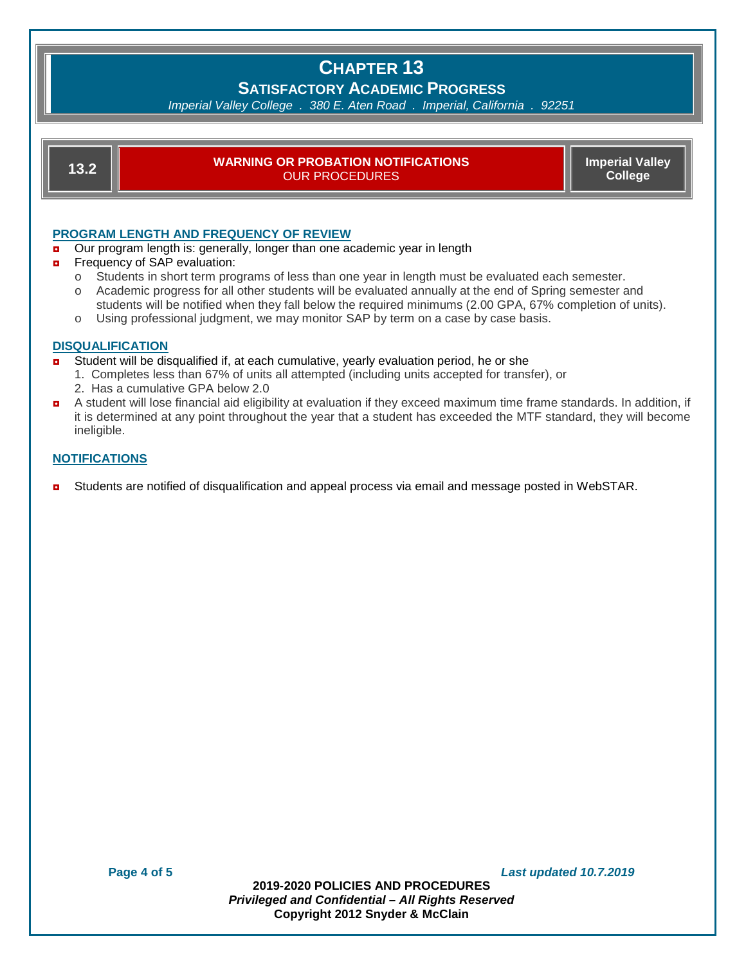### **SATISFACTORY ACADEMIC PROGRESS**

*Imperial Valley College . 380 E. Aten Road . Imperial, California . 92251*

#### **13.2 WARNING OR PROBATION NOTIFICATIONS** OUR PROCEDURES

**Imperial Valley College**

#### **PROGRAM LENGTH AND FREQUENCY OF REVIEW**

- **D** Our program length is: generally, longer than one academic year in length
- **n** Frequency of SAP evaluation:
	- o Students in short term programs of less than one year in length must be evaluated each semester.
	- o Academic progress for all other students will be evaluated annually at the end of Spring semester and students will be notified when they fall below the required minimums (2.00 GPA, 67% completion of units).
	- o Using professional judgment, we may monitor SAP by term on a case by case basis.

#### **DISQUALIFICATION**

- Student will be disqualified if, at each cumulative, yearly evaluation period, he or she
	- 1. Completes less than 67% of units all attempted (including units accepted for transfer), or
	- 2. Has a cumulative GPA below 2.0
- ◘ A student will lose financial aid eligibility at evaluation if they exceed maximum time frame standards. In addition, if it is determined at any point throughout the year that a student has exceeded the MTF standard, they will become ineligible.

#### **NOTIFICATIONS**

**D** Students are notified of disqualification and appeal process via email and message posted in WebSTAR.

**Page 4 of 5** *Last updated 10.7.2019*